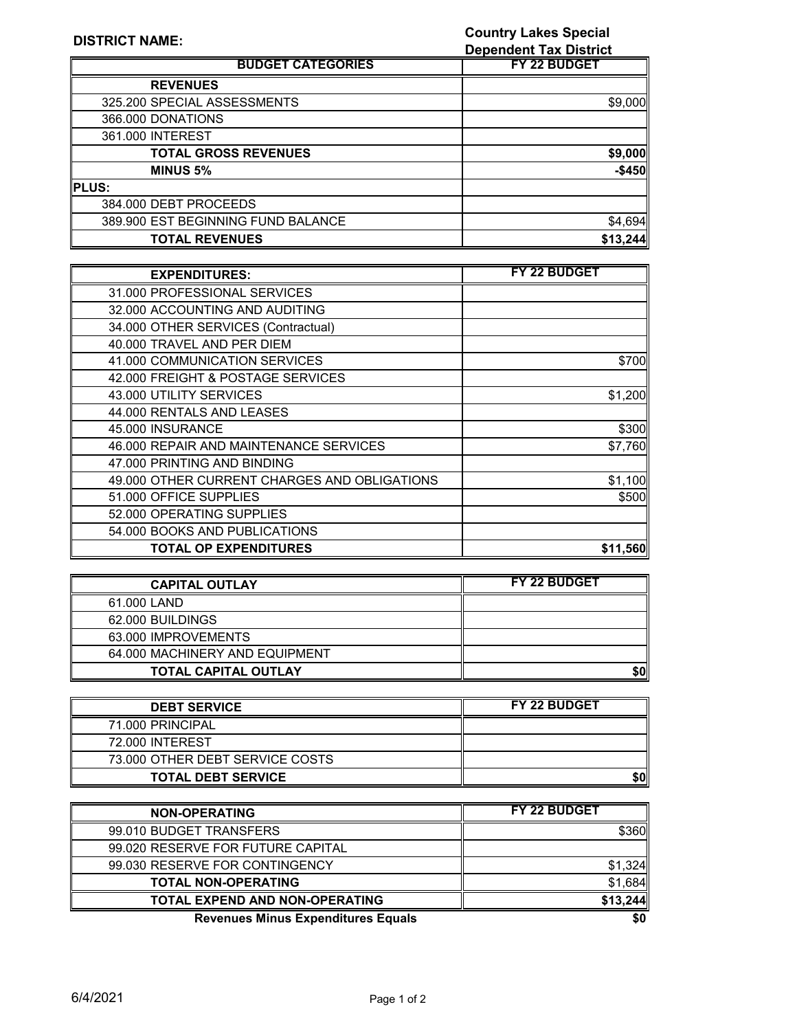**Country Lakes Special** 

| <b>DISTRICT NAME:</b>              | <b>Country Lakes Special</b>  |
|------------------------------------|-------------------------------|
|                                    | <b>Dependent Tax District</b> |
| <b>BUDGET CATEGORIES</b>           | <b>FY 22 BUDGET</b>           |
| <b>REVENUES</b>                    |                               |
| 325.200 SPECIAL ASSESSMENTS        | \$9,000                       |
| 366,000 DONATIONS                  |                               |
| 361.000 INTEREST                   |                               |
| <b>TOTAL GROSS REVENUES</b>        | \$9,000                       |
| <b>MINUS 5%</b>                    | $-$450$                       |
| <b>PLUS:</b>                       |                               |
| 384.000 DEBT PROCEEDS              |                               |
| 389.900 EST BEGINNING FUND BALANCE | \$4,694                       |
| <b>TOTAL REVENUES</b>              | \$13,244                      |

| <b>EXPENDITURES:</b>                         | <b>FY 22 BUDGET</b> |
|----------------------------------------------|---------------------|
| 31,000 PROFESSIONAL SERVICES                 |                     |
| 32,000 ACCOUNTING AND AUDITING               |                     |
| 34.000 OTHER SERVICES (Contractual)          |                     |
| 40,000 TRAVEL AND PER DIEM                   |                     |
| 41.000 COMMUNICATION SERVICES                | \$700               |
| 42.000 FREIGHT & POSTAGE SERVICES            |                     |
| 43.000 UTILITY SERVICES                      | \$1,200             |
| 44.000 RENTALS AND LEASES                    |                     |
| 45,000 INSURANCE                             | \$300               |
| 46.000 REPAIR AND MAINTENANCE SERVICES       | \$7,760             |
| 47,000 PRINTING AND BINDING                  |                     |
| 49.000 OTHER CURRENT CHARGES AND OBLIGATIONS | \$1,100             |
| 51,000 OFFICE SUPPLIES                       | \$500               |
| 52.000 OPERATING SUPPLIES                    |                     |
| 54.000 BOOKS AND PUBLICATIONS                |                     |
| <b>TOTAL OP EXPENDITURES</b>                 | \$11,560            |

| <b>CAPITAL OUTLAY</b>          | <b>FY 22 BUDGET</b> |
|--------------------------------|---------------------|
| 61.000 LAND                    |                     |
| 62.000 BUILDINGS               |                     |
| 63.000 IMPROVEMENTS            |                     |
| 64,000 MACHINERY AND EQUIPMENT |                     |
| <b>TOTAL CAPITAL OUTLAY</b>    |                     |

| <b>DEBT SERVICE</b>             | <b>FY 22 BUDGET</b> |
|---------------------------------|---------------------|
| 71,000 PRINCIPAL                |                     |
| 72,000 INTEREST                 |                     |
| 73.000 OTHER DEBT SERVICE COSTS |                     |
| <b>TOTAL DEBT SERVICE</b>       |                     |

| <b>NON-OPERATING</b>                      | <b>FY 22 BUDGET</b> |
|-------------------------------------------|---------------------|
| 99.010 BUDGET TRANSFERS                   | \$360               |
| 99.020 RESERVE FOR FUTURE CAPITAL         |                     |
| 99.030 RESERVE FOR CONTINGENCY            | \$1,324             |
| <b>TOTAL NON-OPERATING</b>                | \$1,684             |
| <b>TOTAL EXPEND AND NON-OPERATING</b>     | \$13.244            |
| <b>Revenues Minus Expenditures Equals</b> | \$0                 |